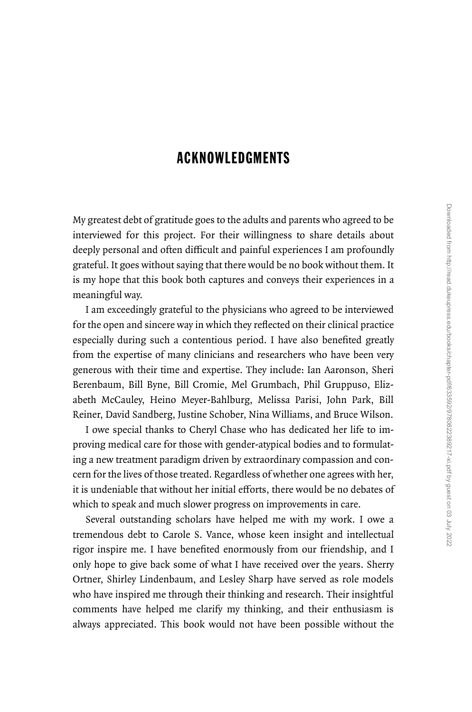## ACKNOWLEDGMENTS

My greatest debt of gratitude goes to the adults and parents who agreed to be interviewed for this project. For their willingness to share details about deeply personal and often difficult and painful experiences I am profoundly grateful. It goes without saying that there would be no book without them. It is my hope that this book both captures and conveys their experiences in a meaningful way.

I am exceedingly grateful to the physicians who agreed to be interviewed for the open and sincere way in which they reflected on their clinical practice especially during such a contentious period. I have also benefited greatly from the expertise of many clinicians and researchers who have been very generous with their time and expertise. They include: Ian Aaronson, Sheri Berenbaum, Bill Byne, Bill Cromie, Mel Grumbach, Phil Gruppuso, Elizabeth McCauley, Heino Meyer-Bahlburg, Melissa Parisi, John Park, Bill Reiner, David Sandberg, Justine Schober, Nina Williams, and Bruce Wilson.

I owe special thanks to Cheryl Chase who has dedicated her life to improving medical care for those with gender-atypical bodies and to formulating a new treatment paradigm driven by extraordinary compassion and concern for the lives of those treated. Regardless of whether one agrees with her, it is undeniable that without her initial efforts, there would be no debates of which to speak and much slower progress on improvements in care.

Several outstanding scholars have helped me with my work. I owe a tremendous debt to Carole S. Vance, whose keen insight and intellectual rigor inspire me. I have benefited enormously from our friendship, and I only hope to give back some of what I have received over the years. Sherry Ortner, Shirley Lindenbaum, and Lesley Sharp have served as role models who have inspired me through their thinking and research. Their insightful comments have helped me clarify my thinking, and their enthusiasm is always appreciated. This book would not have been possible without the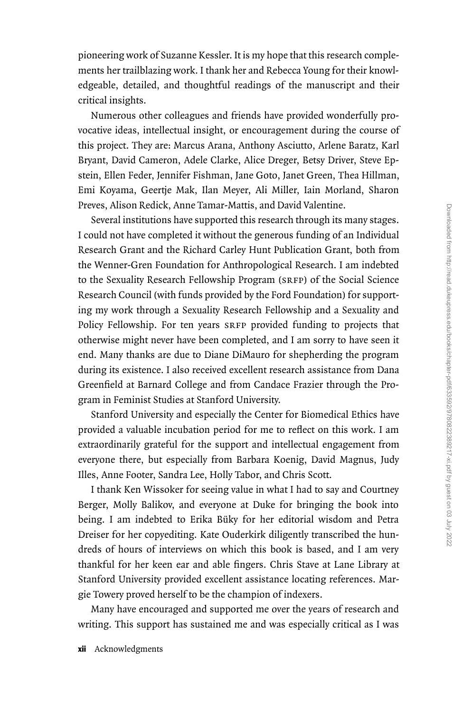pioneering work of Suzanne Kessler. It is my hope that this research complements her trailblazing work. I thank her and Rebecca Young for their knowledgeable, detailed, and thoughtful readings of the manuscript and their critical insights.

Numerous other colleagues and friends have provided wonderfully provocative ideas, intellectual insight, or encouragement during the course of this project. They are: Marcus Arana, Anthony Asciutto, Arlene Baratz, Karl Bryant, David Cameron, Adele Clarke, Alice Dreger, Betsy Driver, Steve Epstein, Ellen Feder, Jennifer Fishman, Jane Goto, Janet Green, Thea Hillman, Emi Koyama, Geertje Mak, Ilan Meyer, Ali Miller, Iain Morland, Sharon Preves, Alison Redick, Anne Tamar-Mattis, and David Valentine.

Several institutions have supported this research through its many stages. I could not have completed it without the generous funding of an Individual Research Grant and the Richard Carley Hunt Publication Grant, both from the Wenner-Gren Foundation for Anthropological Research. I am indebted to the Sexuality Research Fellowship Program (SRFP) of the Social Science Research Council (with funds provided by the Ford Foundation) for supporting my work through a Sexuality Research Fellowship and a Sexuality and Policy Fellowship. For ten years SRFP provided funding to projects that otherwise might never have been completed, and I am sorry to have seen it end. Many thanks are due to Diane DiMauro for shepherding the program during its existence. I also received excellent research assistance from Dana Greenfield at Barnard College and from Candace Frazier through the Program in Feminist Studies at Stanford University.

Stanford University and especially the Center for Biomedical Ethics have provided a valuable incubation period for me to reflect on this work. I am extraordinarily grateful for the support and intellectual engagement from everyone there, but especially from Barbara Koenig, David Magnus, Judy Illes, Anne Footer, Sandra Lee, Holly Tabor, and Chris Scott.

I thank Ken Wissoker for seeing value in what I had to say and Courtney Berger, Molly Balikov, and everyone at Duke for bringing the book into being. I am indebted to Erika Büky for her editorial wisdom and Petra Dreiser for her copyediting. Kate Ouderkirk diligently transcribed the hundreds of hours of interviews on which this book is based, and I am very thankful for her keen ear and able fingers. Chris Stave at Lane Library at Stanford University provided excellent assistance locating references. Margie Towery proved herself to be the champion of indexers.

Many have encouraged and supported me over the years of research and writing. This support has sustained me and was especially critical as I was